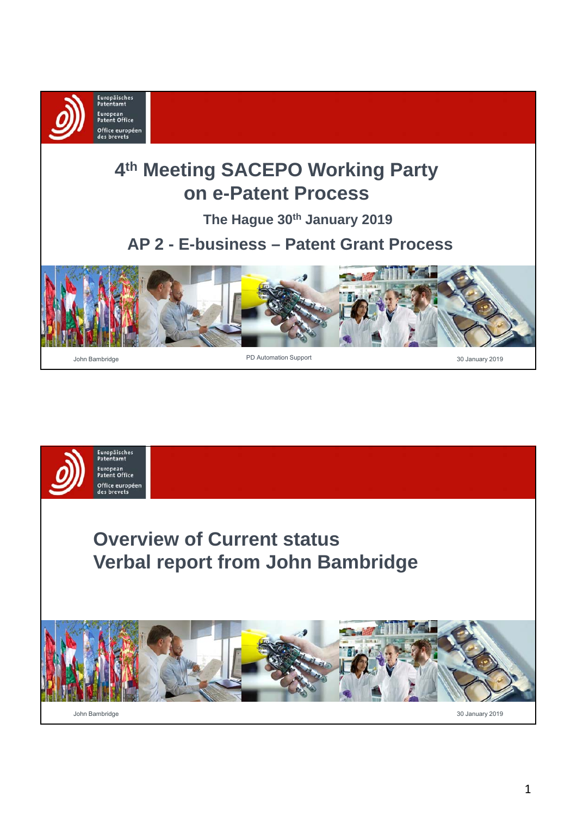

# **4th Meeting SACEPO Working Party on e-Patent Process**

**The Hague 30th January 2019**

## **AP 2 - E-business – Patent Grant Process**



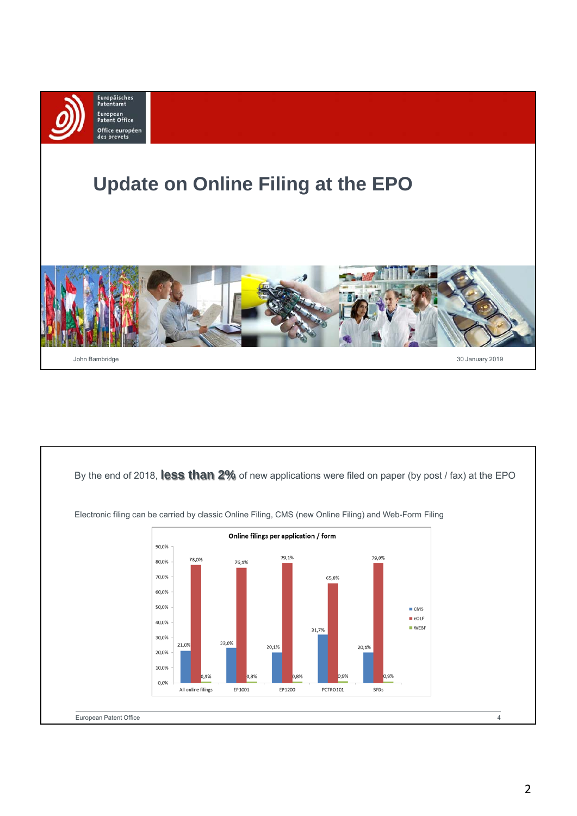

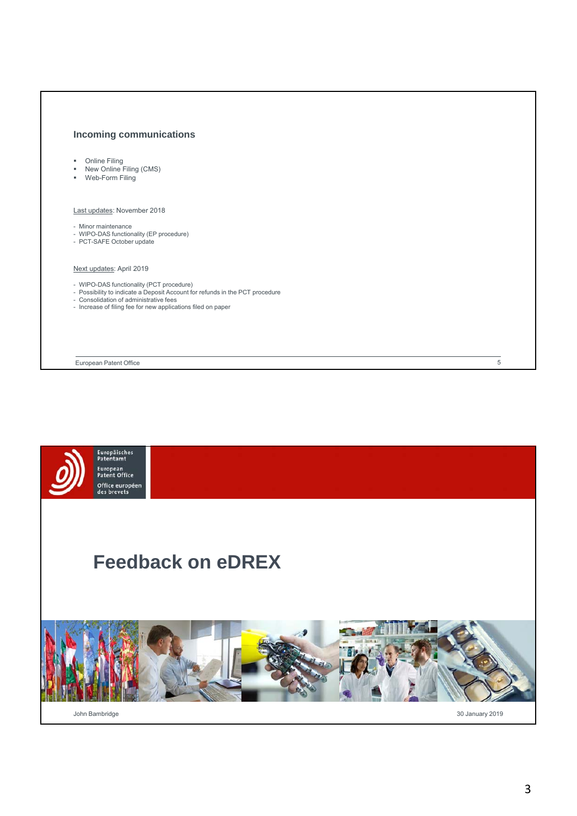#### **Incoming communications**

- **Draine Filing**
- **New Online Filing (CMS)**
- Web-Form Filing

#### Last updates: November 2018

- Minor maintenance
- WIPO-DAS functionality (EP procedure) - PCT-SAFE October update
- 

#### Next updates: April 2019

- 
- WIPO-DAS functionality (PCT procedure) Possibility to indicate a Deposit Account for refunds in the PCT procedure Consolidation of administrative fees
- 
- Increase of filing fee for new applications filed on paper

European Patent Office



 $\overline{5}$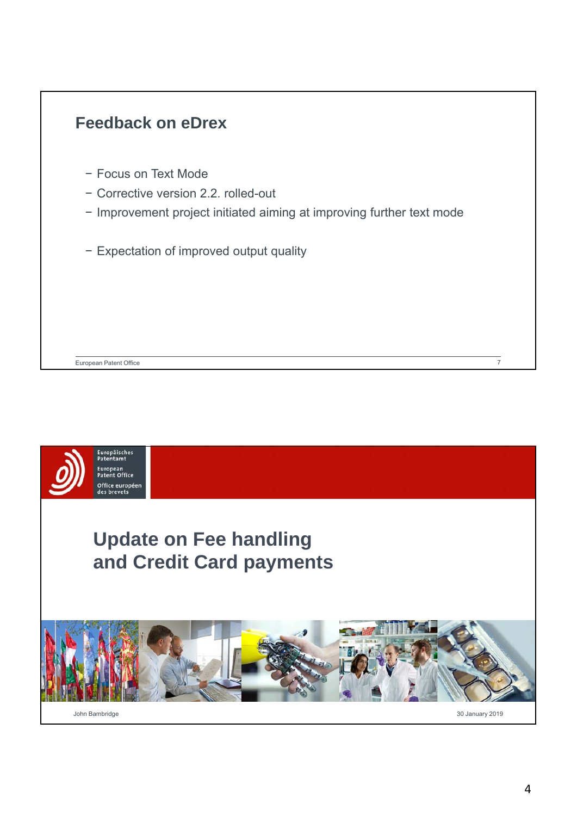

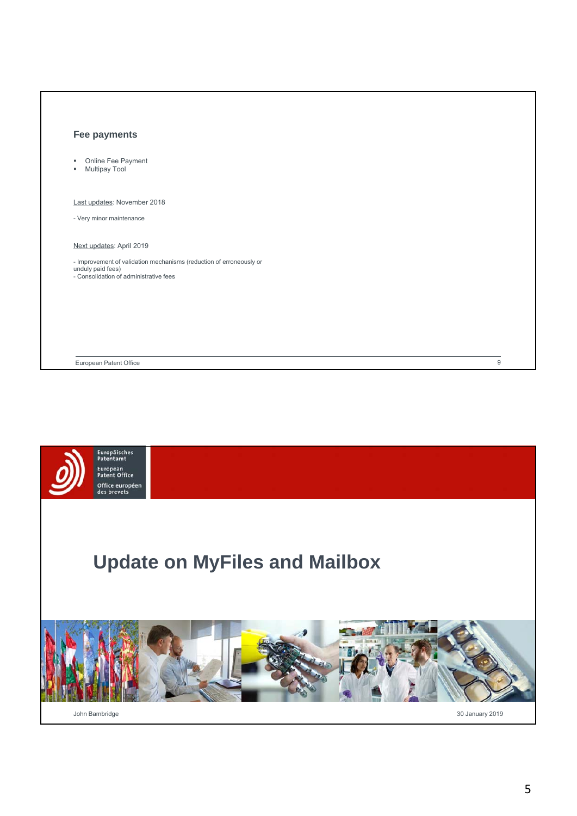